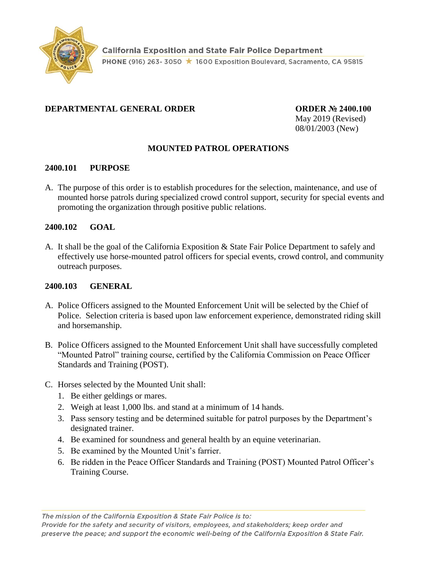

## **DEPARTMENTAL GENERAL ORDER ORDER № 2400.100**

May 2019 (Revised) 08/01/2003 (New)

### **MOUNTED PATROL OPERATIONS**

#### **2400.101 PURPOSE**

A. The purpose of this order is to establish procedures for the selection, maintenance, and use of mounted horse patrols during specialized crowd control support, security for special events and promoting the organization through positive public relations.

### **2400.102 GOAL**

A. It shall be the goal of the California Exposition & State Fair Police Department to safely and effectively use horse-mounted patrol officers for special events, crowd control, and community outreach purposes.

#### **2400.103 GENERAL**

- A. Police Officers assigned to the Mounted Enforcement Unit will be selected by the Chief of Police. Selection criteria is based upon law enforcement experience, demonstrated riding skill and horsemanship.
- B. Police Officers assigned to the Mounted Enforcement Unit shall have successfully completed "Mounted Patrol" training course, certified by the California Commission on Peace Officer Standards and Training (POST).
- C. Horses selected by the Mounted Unit shall:
	- 1. Be either geldings or mares.
	- 2. Weigh at least 1,000 lbs. and stand at a minimum of 14 hands.
	- 3. Pass sensory testing and be determined suitable for patrol purposes by the Department's designated trainer.
	- 4. Be examined for soundness and general health by an equine veterinarian.
	- 5. Be examined by the Mounted Unit's farrier.
	- 6. Be ridden in the Peace Officer Standards and Training (POST) Mounted Patrol Officer's Training Course.